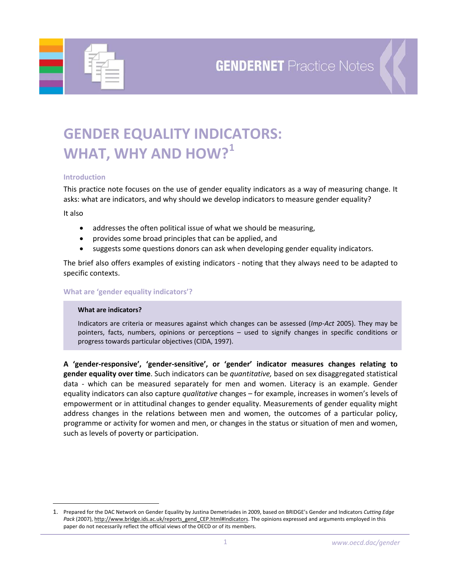

# **GENDER EQUALITY INDICATORS: WHAT, WHY AND HOW?[1](#page-0-0)**

## **Introduction**

This practice note focuses on the use of gender equality indicators as a way of measuring change. It asks: what are indicators, and why should we develop indicators to measure gender equality?

It also

 $\overline{a}$ 

- addresses the often political issue of what we should be measuring,
- provides some broad principles that can be applied, and
- suggests some questions donors can ask when developing gender equality indicators.

The brief also offers examples of existing indicators ‐ noting that they always need to be adapted to specific contexts.

### **What are 'gender equality indicators'?**

#### **What are indicators?**

Indicators are criteria or measures against which changes can be assessed (*Imp‐Act* 2005). They may be pointers, facts, numbers, opinions or perceptions – used to signify changes in specific conditions or progress towards particular objectives (CIDA, 1997).

**A 'gender‐responsive', 'gender‐sensitive', or 'gender' indicator measures changes relating to gender equality over time**. Such indicators can be *quantitative,* based on sex disaggregated statistical data - which can be measured separately for men and women. Literacy is an example. Gender equality indicators can also capture *qualitative* changes – for example, increases in women's levels of empowerment or in attitudinal changes to gender equality. Measurements of gender equality might address changes in the relations between men and women, the outcomes of a particular policy, programme or activity for women and men, or changes in the status or situation of men and women, such as levels of poverty or participation.

<span id="page-0-0"></span><sup>1.</sup> Prepared for the DAC Network on Gender Equality by Justina Demetriades in 2009, based on BRIDGE's Gender and Indicators *Cutting Edge* Pack (2007), [http://www.bridge.ids.ac.uk/reports\\_gend\\_CEP.html#Indicators](http://www.bridge.ids.ac.uk/reports_gend_CEP.html#Indicators). The opinions expressed and arguments employed in this paper do not necessarily reflect the official views of the OECD or of its members.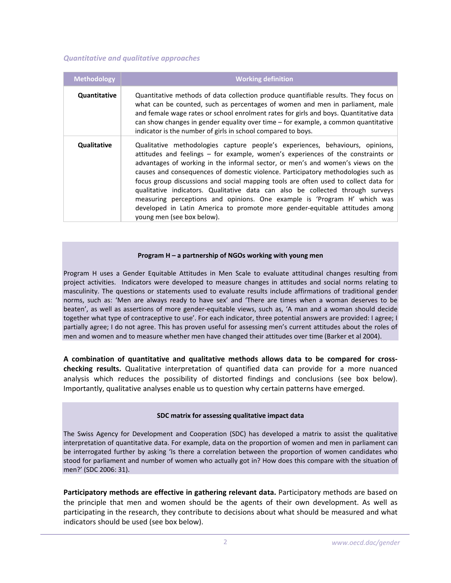## *Quantitative and qualitative approaches*

| <b>Methodology</b> | <b>Working definition</b>                                                                                                                                                                                                                                                                                                                                                                                                                                                                                                                                                                                                                                                                                  |
|--------------------|------------------------------------------------------------------------------------------------------------------------------------------------------------------------------------------------------------------------------------------------------------------------------------------------------------------------------------------------------------------------------------------------------------------------------------------------------------------------------------------------------------------------------------------------------------------------------------------------------------------------------------------------------------------------------------------------------------|
| Quantitative       | Quantitative methods of data collection produce quantifiable results. They focus on<br>what can be counted, such as percentages of women and men in parliament, male<br>and female wage rates or school enrolment rates for girls and boys. Quantitative data<br>can show changes in gender equality over time - for example, a common quantitative<br>indicator is the number of girls in school compared to boys.                                                                                                                                                                                                                                                                                        |
| Qualitative        | Qualitative methodologies capture people's experiences, behaviours, opinions,<br>attitudes and feelings - for example, women's experiences of the constraints or<br>advantages of working in the informal sector, or men's and women's views on the<br>causes and consequences of domestic violence. Participatory methodologies such as<br>focus group discussions and social mapping tools are often used to collect data for<br>qualitative indicators. Qualitative data can also be collected through surveys<br>measuring perceptions and opinions. One example is 'Program H' which was<br>developed in Latin America to promote more gender-equitable attitudes among<br>young men (see box below). |

#### **Program H – a partnership of NGOs working with young men**

Program H uses a Gender Equitable Attitudes in Men Scale to evaluate attitudinal changes resulting from project activities. Indicators were developed to measure changes in attitudes and social norms relating to masculinity. The questions or statements used to evaluate results include affirmations of traditional gender norms, such as: 'Men are always ready to have sex' and 'There are times when a woman deserves to be beaten', as well as assertions of more gender‐equitable views, such as, 'A man and a woman should decide together what type of contraceptive to use'. For each indicator, three potential answers are provided: I agree; I partially agree; I do not agree. This has proven useful for assessing men's current attitudes about the roles of men and women and to measure whether men have changed their attitudes over time (Barker et al 2004).

**A combination of quantitative and qualitative methods allows data to be compared for cross‐ checking results.** Qualitative interpretation of quantified data can provide for a more nuanced analysis which reduces the possibility of distorted findings and conclusions (see box below). Importantly, qualitative analyses enable us to question why certain patterns have emerged.

#### **SDC matrix for assessing qualitative impact data**

The Swiss Agency for Development and Cooperation (SDC) has developed a matrix to assist the qualitative interpretation of quantitative data. For example, data on the proportion of women and men in parliament can be interrogated further by asking 'Is there a correlation between the proportion of women candidates who stood for parliament and number of women who actually got in? How does this compare with the situation of men?' (SDC 2006: 31).

**Participatory methods are effective in gathering relevant data.** Participatory methods are based on the principle that men and women should be the agents of their own development. As well as participating in the research, they contribute to decisions about what should be measured and what indicators should be used (see box below).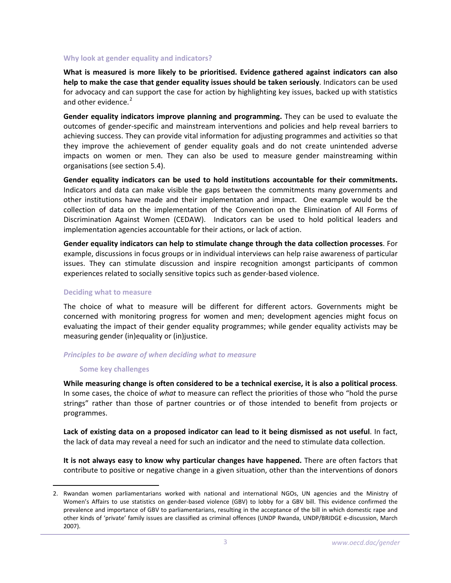## **Why look at gender equality and indicators?**

**What is measured is more likely to be prioritised. Evidence gathered against indicators can also help to make the case that gender equality issues should be taken seriously**. Indicators can be used for advocacy and can support the case for action by highlighting key issues, backed up with statistics and other evidence.<sup>[2](#page-2-0)</sup>

**Gender equality indicators improve planning and programming.** They can be used to evaluate the outcomes of gender‐specific and mainstream interventions and policies and help reveal barriers to achieving success. They can provide vital information for adjusting programmes and activities so that they improve the achievement of gender equality goals and do not create unintended adverse impacts on women or men. They can also be used to measure gender mainstreaming within organisations (see section 5.4).

**Gender equality indicators can be used to hold institutions accountable for their commitments.** Indicators and data can make visible the gaps between the commitments many governments and other institutions have made and their implementation and impact. One example would be the collection of data on the implementation of the Convention on the Elimination of All Forms of Discrimination Against Women (CEDAW). Indicators can be used to hold political leaders and implementation agencies accountable for their actions, or lack of action.

**Gender equality indicators can help to stimulate change through the data collection processes**. For example, discussions in focus groups or in individual interviews can help raise awareness of particular issues. They can stimulate discussion and inspire recognition amongst participants of common experiences related to socially sensitive topics such as gender‐based violence.

#### **Deciding what to measure**

The choice of what to measure will be different for different actors. Governments might be concerned with monitoring progress for women and men; development agencies might focus on evaluating the impact of their gender equality programmes; while gender equality activists may be measuring gender (in)equality or (in)justice.

## *Principles to be aware of when deciding what to measure*

#### **Some key challenges**

 $\overline{a}$ 

**While measuring change is often considered to be a technical exercise, it is also a political process**. In some cases, the choice of *what* to measure can reflect the priorities of those who "hold the purse strings" rather than those of partner countries or of those intended to benefit from projects or programmes.

**Lack of existing data on a proposed indicator can lead to it being dismissed as not useful**. In fact, the lack of data may reveal a need for such an indicator and the need to stimulate data collection.

**It is not always easy to know why particular changes have happened.** There are often factors that contribute to positive or negative change in a given situation, other than the interventions of donors

<span id="page-2-0"></span><sup>2.</sup> Rwandan women parliamentarians worked with national and international NGOs, UN agencies and the Ministry of Women's Affairs to use statistics on gender‐based violence (GBV) to lobby for a GBV bill. This evidence confirmed the prevalence and importance of GBV to parliamentarians, resulting in the acceptance of the bill in which domestic rape and other kinds of 'private' family issues are classified as criminal offences (UNDP Rwanda, UNDP/BRIDGE e‐discussion, March 2007).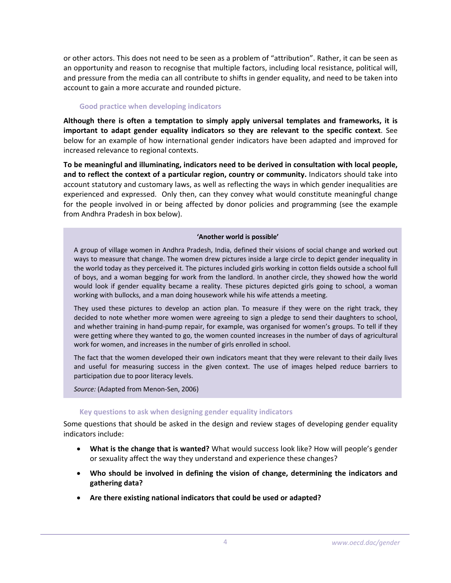or other actors. This does not need to be seen as a problem of "attribution". Rather, it can be seen as an opportunity and reason to recognise that multiple factors, including local resistance, political will, and pressure from the media can all contribute to shifts in gender equality, and need to be taken into account to gain a more accurate and rounded picture.

## **Good practice when developing indicators**

**Although there is often a temptation to simply apply universal templates and frameworks, it is important to adapt gender equality indicators so they are relevant to the specific context**. See below for an example of how international gender indicators have been adapted and improved for increased relevance to regional contexts.

**To be meaningful and illuminating, indicators need to be derived in consultation with local people, and to reflect the context of a particular region, country or community.** Indicators should take into account statutory and customary laws, as well as reflecting the ways in which gender inequalities are experienced and expressed. Only then, can they convey what would constitute meaningful change for the people involved in or being affected by donor policies and programming (see the example from Andhra Pradesh in box below).

## **'Another world is possible'**

A group of village women in Andhra Pradesh, India, defined their visions of social change and worked out ways to measure that change. The women drew pictures inside a large circle to depict gender inequality in the world today as they perceived it. The pictures included girls working in cotton fields outside a school full of boys, and a woman begging for work from the landlord. In another circle, they showed how the world would look if gender equality became a reality. These pictures depicted girls going to school, a woman working with bullocks, and a man doing housework while his wife attends a meeting.

They used these pictures to develop an action plan. To measure if they were on the right track, they decided to note whether more women were agreeing to sign a pledge to send their daughters to school, and whether training in hand‐pump repair, for example, was organised for women's groups. To tell if they were getting where they wanted to go, the women counted increases in the number of days of agricultural work for women, and increases in the number of girls enrolled in school.

The fact that the women developed their own indicators meant that they were relevant to their daily lives and useful for measuring success in the given context. The use of images helped reduce barriers to participation due to poor literacy levels.

*Source:* (Adapted from Menon‐Sen, 2006)

## **Key questions to ask when designing gender equality indicators**

Some questions that should be asked in the design and review stages of developing gender equality indicators include:

- **What is the change that is wanted?** What would success look like? How will people's gender or sexuality affect the way they understand and experience these changes?
- **Who should be involved in defining the vision of change, determining the indicators and gathering data?**
- **Are there existing national indicators that could be used or adapted?**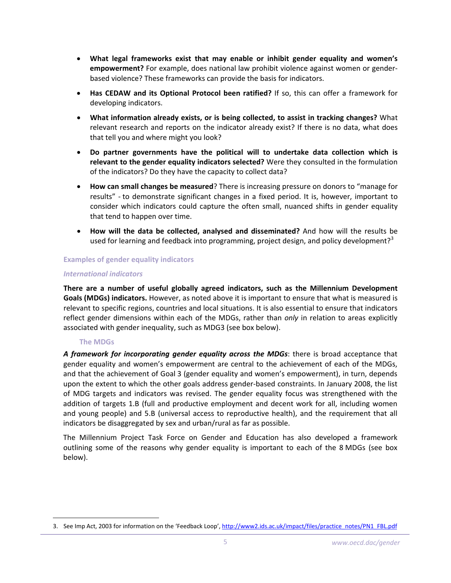- **What legal frameworks exist that may enable or inhibit gender equality and women's empowerment?** For example, does national law prohibit violence against women or gender‐ based violence? These frameworks can provide the basis for indicators.
- **Has CEDAW and its Optional Protocol been ratified?** If so, this can offer a framework for developing indicators.
- **What information already exists, or is being collected, to assist in tracking changes?** What relevant research and reports on the indicator already exist? If there is no data, what does that tell you and where might you look?
- **Do partner governments have the political will to undertake data collection which is relevant to the gender equality indicators selected?** Were they consulted in the formulation of the indicators? Do they have the capacity to collect data?
- **How can small changes be measured**? There is increasing pressure on donors to "manage for results" ‐ to demonstrate significant changes in a fixed period. It is, however, important to consider which indicators could capture the often small, nuanced shifts in gender equality that tend to happen over time.
- **How will the data be collected, analysed and disseminated?** And how will the results be used for learning and feedback into programming, project design, and policy development?<sup>[3](#page-4-0)</sup>

## **Examples of gender equality indicators**

## *International indicators*

**There are a number of useful globally agreed indicators, such as the Millennium Development Goals (MDGs) indicators.** However, as noted above it is important to ensure that what is measured is relevant to specific regions, countries and local situations. It is also essential to ensure that indicators reflect gender dimensions within each of the MDGs, rather than *only* in relation to areas explicitly associated with gender inequality, such as MDG3 (see box below).

## **The MDGs**

 $\overline{a}$ 

*A framework for incorporating gender equality across the MDGs*: there is broad acceptance that gender equality and women's empowerment are central to the achievement of each of the MDGs, and that the achievement of Goal 3 (gender equality and women's empowerment), in turn, depends upon the extent to which the other goals address gender-based constraints. In January 2008, the list of MDG targets and indicators was revised. The gender equality focus was strengthened with the addition of targets 1.B (full and productive employment and decent work for all, including women and young people) and 5.B (universal access to reproductive health), and the requirement that all indicators be disaggregated by sex and urban/rural as far as possible.

The Millennium Project Task Force on Gender and Education has also developed a framework outlining some of the reasons why gender equality is important to each of the 8 MDGs (see box below).

<span id="page-4-0"></span><sup>3.</sup> See Imp Act, 2003 for information on the 'Feedback Loop', [http://www2.ids.ac.uk/impact/files/practice\\_notes/PN1\\_FBL.pdf](http://www2.ids.ac.uk/impact/files/practice_notes/PN1_FBL.pdf)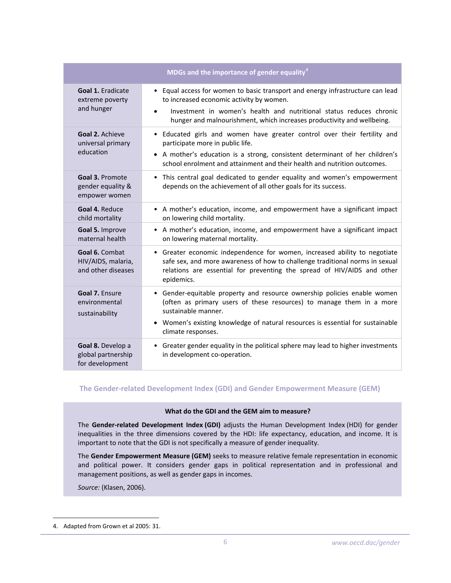| MDGs and the importance of gender equality <sup>4</sup>    |                                                                                                                                                                                                                                                                               |  |
|------------------------------------------------------------|-------------------------------------------------------------------------------------------------------------------------------------------------------------------------------------------------------------------------------------------------------------------------------|--|
| <b>Goal 1. Eradicate</b><br>extreme poverty<br>and hunger  | Equal access for women to basic transport and energy infrastructure can lead<br>to increased economic activity by women.<br>Investment in women's health and nutritional status reduces chronic<br>hunger and malnourishment, which increases productivity and wellbeing.     |  |
| Goal 2. Achieve<br>universal primary<br>education          | • Educated girls and women have greater control over their fertility and<br>participate more in public life.<br>• A mother's education is a strong, consistent determinant of her children's<br>school enrolment and attainment and their health and nutrition outcomes.      |  |
| Goal 3. Promote<br>gender equality &<br>empower women      | • This central goal dedicated to gender equality and women's empowerment<br>depends on the achievement of all other goals for its success.                                                                                                                                    |  |
| Goal 4. Reduce<br>child mortality                          | • A mother's education, income, and empowerment have a significant impact<br>on lowering child mortality.                                                                                                                                                                     |  |
| Goal 5. Improve<br>maternal health                         | • A mother's education, income, and empowerment have a significant impact<br>on lowering maternal mortality.                                                                                                                                                                  |  |
| Goal 6. Combat<br>HIV/AIDS, malaria,<br>and other diseases | • Greater economic independence for women, increased ability to negotiate<br>safe sex, and more awareness of how to challenge traditional norms in sexual<br>relations are essential for preventing the spread of HIV/AIDS and other<br>epidemics.                            |  |
| Goal 7. Ensure<br>environmental<br>sustainability          | • Gender-equitable property and resource ownership policies enable women<br>(often as primary users of these resources) to manage them in a more<br>sustainable manner.<br>Women's existing knowledge of natural resources is essential for sustainable<br>climate responses. |  |
| Goal 8. Develop a<br>global partnership<br>for development | • Greater gender equality in the political sphere may lead to higher investments<br>in development co-operation.                                                                                                                                                              |  |

## **The Gender‐related Development Index (GDI) and Gender Empowerment Measure (GEM)**

## **What do the GDI and the GEM aim to measure?**

The **Gender‐related Development Index (GDI)** adjusts the Human Development Index (HDI) for gender inequalities in the three dimensions covered by the HDI: life expectancy, education, and income. It is important to note that the GDI is not specifically a measure of gender inequality.

The **Gender Empowerment Measure (GEM)** seeks to measure relative female representation in economic and political power. It considers gender gaps in political representation and in professional and management positions, as well as gender gaps in incomes.

*Source:* (Klasen, 2006).

 $\overline{a}$ 

<span id="page-5-0"></span><sup>4.</sup> Adapted from Grown et al 2005: 31.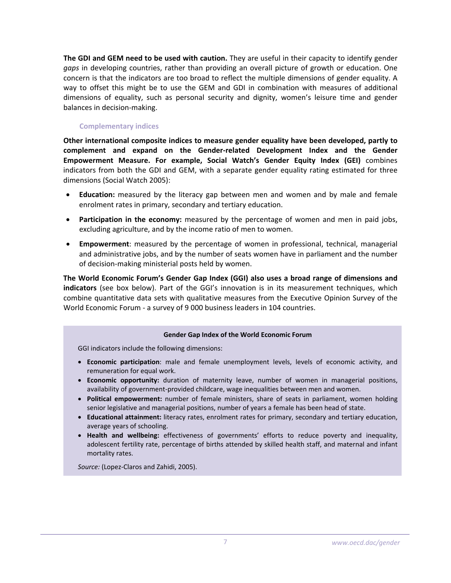**The GDI and GEM need to be used with caution.** They are useful in their capacity to identify gender *gaps* in developing countries, rather than providing an overall picture of growth or education. One concern is that the indicators are too broad to reflect the multiple dimensions of gender equality. A way to offset this might be to use the GEM and GDI in combination with measures of additional dimensions of equality, such as personal security and dignity, women's leisure time and gender balances in decision‐making.

## **Complementary indices**

**Other international composite indices to measure gender equality have been developed, partly to complement and expand on the Gender‐related Development Index and the Gender Empowerment Measure. For example, Social Watch's Gender Equity Index (GEI)** combines indicators from both the GDI and GEM, with a separate gender equality rating estimated for three dimensions (Social Watch 2005):

- **Education:** measured by the literacy gap between men and women and by male and female enrolment rates in primary, secondary and tertiary education.
- **Participation in the economy:** measured by the percentage of women and men in paid jobs, excluding agriculture, and by the income ratio of men to women.
- **Empowerment**: measured by the percentage of women in professional, technical, managerial and administrative jobs, and by the number of seats women have in parliament and the number of decision‐making ministerial posts held by women.

**The World Economic Forum's Gender Gap Index (GGI) also uses a broad range of dimensions and indicators** (see box below). Part of the GGI's innovation is in its measurement techniques, which combine quantitative data sets with qualitative measures from the Executive Opinion Survey of the World Economic Forum ‐ a survey of 9 000 business leaders in 104 countries.

#### **Gender Gap Index of the World Economic Forum**

GGI indicators include the following dimensions:

- **Economic participation**: male and female unemployment levels, levels of economic activity, and remuneration for equal work.
- **Economic opportunity:** duration of maternity leave, number of women in managerial positions, availability of government‐provided childcare, wage inequalities between men and women.
- **Political empowerment:** number of female ministers, share of seats in parliament, women holding senior legislative and managerial positions, number of years a female has been head of state.
- **Educational attainment:** literacy rates, enrolment rates for primary, secondary and tertiary education, average years of schooling.
- **Health and wellbeing:** effectiveness of governments' efforts to reduce poverty and inequality, adolescent fertility rate, percentage of births attended by skilled health staff, and maternal and infant mortality rates.

*Source:* (Lopez‐Claros and Zahidi, 2005).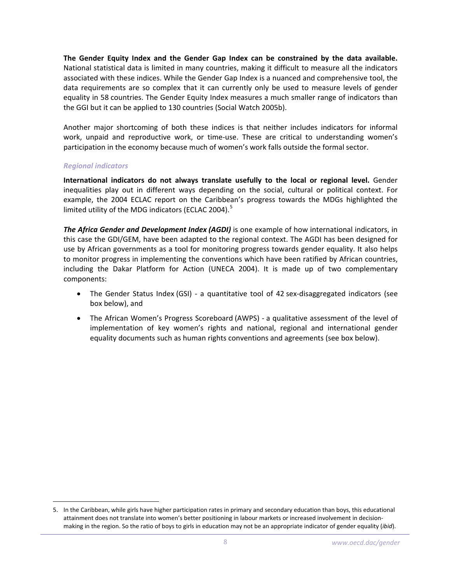**The Gender Equity Index and the Gender Gap Index can be constrained by the data available.** National statistical data is limited in many countries, making it difficult to measure all the indicators associated with these indices. While the Gender Gap Index is a nuanced and comprehensive tool, the data requirements are so complex that it can currently only be used to measure levels of gender equality in 58 countries. The Gender Equity Index measures a much smaller range of indicators than the GGI but it can be applied to 130 countries (Social Watch 2005b).

Another major shortcoming of both these indices is that neither includes indicators for informal work, unpaid and reproductive work, or time-use. These are critical to understanding women's participation in the economy because much of women's work falls outside the formal sector.

## *Regional indicators*

 $\overline{a}$ 

**International indicators do not always translate usefully to the local or regional level.** Gender inequalities play out in different ways depending on the social, cultural or political context. For example, the 2004 ECLAC report on the Caribbean's progress towards the MDGs highlighted the limited utility of the MDG indicators (ECLAC 2004).<sup>[5](#page-7-0)</sup>

*The Africa Gender and Development Index (AGDI)* is one example of how international indicators, in this case the GDI/GEM, have been adapted to the regional context. The AGDI has been designed for use by African governments as a tool for monitoring progress towards gender equality. It also helps to monitor progress in implementing the conventions which have been ratified by African countries, including the Dakar Platform for Action (UNECA 2004). It is made up of two complementary components:

- The Gender Status Index (GSI) a quantitative tool of 42 sex-disaggregated indicators (see box below), and
- The African Women's Progress Scoreboard (AWPS) ‐ a qualitative assessment of the level of implementation of key women's rights and national, regional and international gender equality documents such as human rights conventions and agreements (see box below).

<span id="page-7-0"></span><sup>5.</sup> In the Caribbean, while girls have higher participation rates in primary and secondary education than boys, this educational attainment does not translate into women's better positioning in labour markets or increased involvement in decisionmaking in the region. So the ratio of boys to girls in education may not be an appropriate indicator of gender equality (*ibid*).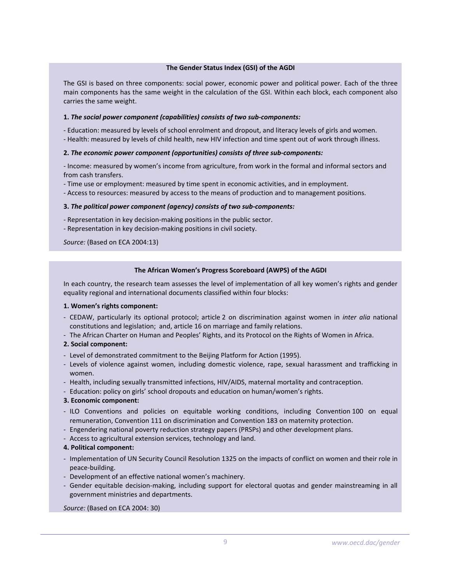#### **The Gender Status Index (GSI) of the AGDI**

The GSI is based on three components: social power, economic power and political power. Each of the three main components has the same weight in the calculation of the GSI. Within each block, each component also carries the same weight.

#### **1.** *The social power component (capabilities) consists of two sub‐components:*

‐ Education: measured by levels of school enrolment and dropout, and literacy levels of girls and women.

‐ Health: measured by levels of child health, new HIV infection and time spent out of work through illness.

#### **2.** *The economic power component (opportunities) consists of three sub‐components:*

‐ Income: measured by women's income from agriculture, from work in the formal and informal sectors and from cash transfers.

‐ Time use or employment: measured by time spent in economic activities, and in employment.

‐ Access to resources: measured by access to the means of production and to management positions.

#### **3.** *The political power component (agency) consists of two sub‐components:*

- ‐ Representation in key decision‐making positions in the public sector.
- ‐ Representation in key decision‐making positions in civil society.

*Source:* (Based on ECA 2004:13)

#### **The African Women's Progress Scoreboard (AWPS) of the AGDI**

In each country, the research team assesses the level of implementation of all key women's rights and gender equality regional and international documents classified within four blocks:

#### **1. Women's rights component:**

- ‐ CEDAW, particularly its optional protocol; article 2 on discrimination against women in *inter alia* national constitutions and legislation; and, article 16 on marriage and family relations.
- ‐ The African Charter on Human and Peoples' Rights, and its Protocol on the Rights of Women in Africa.

#### **2. Social component:**

- ‐ Level of demonstrated commitment to the Beijing Platform for Action (1995).
- ‐ Levels of violence against women, including domestic violence, rape, sexual harassment and trafficking in women.
- ‐ Health, including sexually transmitted infections, HIV/AIDS, maternal mortality and contraception.
- ‐ Education: policy on girls' school dropouts and education on human/women's rights.

#### **3. Economic component:**

- ‐ ILO Conventions and policies on equitable working conditions, including Convention 100 on equal remuneration, Convention 111 on discrimination and Convention 183 on maternity protection.
- ‐ Engendering national poverty reduction strategy papers (PRSPs) and other development plans.
- ‐ Access to agricultural extension services, technology and land.

#### **4. Political component:**

- ‐ Implementation of UN Security Council Resolution 1325 on the impacts of conflict on women and their role in peace‐building.
- ‐ Development of an effective national women's machinery.
- ‐ Gender equitable decision‐making, including support for electoral quotas and gender mainstreaming in all government ministries and departments.

*Source:* (Based on ECA 2004: 30)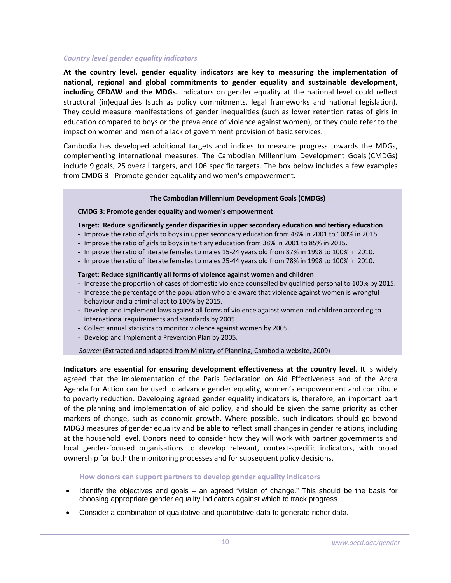## *Country level gender equality indicators*

**At the country level, gender equality indicators are key to measuring the implementation of national, regional and global commitments to gender equality and sustainable development, including CEDAW and the MDGs.** Indicators on gender equality at the national level could reflect structural (in)equalities (such as policy commitments, legal frameworks and national legislation). They could measure manifestations of gender inequalities (such as lower retention rates of girls in education compared to boys or the prevalence of violence against women), or they could refer to the impact on women and men of a lack of government provision of basic services.

Cambodia has developed additional targets and indices to measure progress towards the MDGs, complementing international measures. The Cambodian Millennium Development Goals (CMDGs) include 9 goals, 25 overall targets, and 106 specific targets. The box below includes a few examples from CMDG 3 ‐ Promote gender equality and women's empowerment.

## **The Cambodian Millennium Development Goals (CMDGs)**

## **CMDG 3: Promote gender equality and women's empowerment**

## **Target: Reduce significantly gender disparities in upper secondary education and tertiary education**

- ‐ Improve the ratio of girls to boys in upper secondary education from 48% in 2001 to 100% in 2015.
- ‐ Improve the ratio of girls to boys in tertiary education from 38% in 2001 to 85% in 2015.
- ‐ Improve the ratio of literate females to males 15‐24 years old from 87% in 1998 to 100% in 2010.
- ‐ Improve the ratio of literate females to males 25‐44 years old from 78% in 1998 to 100% in 2010.

## **Target: Reduce significantly all forms of violence against women and children**

- ‐ Increase the proportion of cases of domestic violence counselled by qualified personal to 100% by 2015.
- ‐ Increase the percentage of the population who are aware that violence against women is wrongful behaviour and a criminal act to 100% by 2015.
- ‐ Develop and implement laws against all forms of violence against women and children according to international requirements and standards by 2005.
- ‐ Collect annual statistics to monitor violence against women by 2005.
- ‐ Develop and Implement a Prevention Plan by 2005.

*Source:* (Extracted and adapted from Ministry of Planning, Cambodia website, 2009)

**Indicators are essential for ensuring development effectiveness at the country level**. It is widely agreed that the implementation of the Paris Declaration on Aid Effectiveness and of the Accra Agenda for Action can be used to advance gender equality, women's empowerment and contribute to poverty reduction. Developing agreed gender equality indicators is, therefore, an important part of the planning and implementation of aid policy, and should be given the same priority as other markers of change, such as economic growth. Where possible, such indicators should go beyond MDG3 measures of gender equality and be able to reflect small changes in gender relations, including at the household level. Donors need to consider how they will work with partner governments and local gender‐focused organisations to develop relevant, context‐specific indicators, with broad ownership for both the monitoring processes and for subsequent policy decisions.

## **How donors can support partners to develop gender equality indicators**

- Identify the objectives and goals an agreed "vision of change." This should be the basis for choosing appropriate gender equality indicators against which to track progress.
- Consider a combination of qualitative and quantitative data to generate richer data.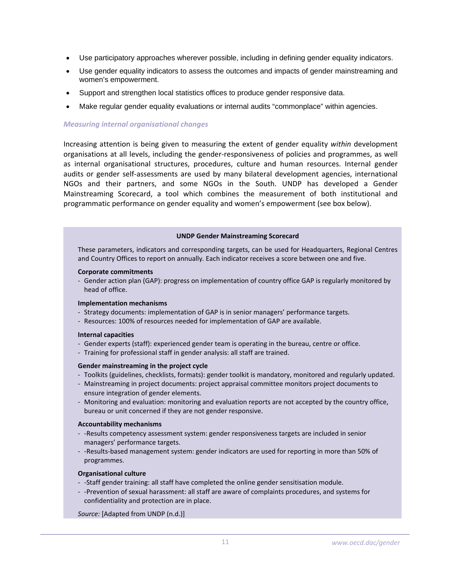- Use participatory approaches wherever possible, including in defining gender equality indicators.
- Use gender equality indicators to assess the outcomes and impacts of gender mainstreaming and women's empowerment.
- Support and strengthen local statistics offices to produce gender responsive data.
- Make regular gender equality evaluations or internal audits "commonplace" within agencies.

## *Measuring internal organisational changes*

Increasing attention is being given to measuring the extent of gender equality *within* development organisations at all levels, including the gender‐responsiveness of policies and programmes, as well as internal organisational structures, procedures, culture and human resources. Internal gender audits or gender self‐assessments are used by many bilateral development agencies, international NGOs and their partners, and some NGOs in the South. UNDP has developed a Gender Mainstreaming Scorecard, a tool which combines the measurement of both institutional and programmatic performance on gender equality and women's empowerment (see box below).

#### **UNDP Gender Mainstreaming Scorecard**

These parameters, indicators and corresponding targets, can be used for Headquarters, Regional Centres and Country Offices to report on annually*.* Each indicator receives a score between one and five.

#### **Corporate commitments**

‐ Gender action plan (GAP): progress on implementation of country office GAP is regularly monitored by head of office.

#### **Implementation mechanisms**

- ‐ Strategy documents: implementation of GAP is in senior managers' performance targets.
- ‐ Resources: 100% of resources needed for implementation of GAP are available.

#### **Internal capacities**

- ‐ Gender experts (staff): experienced gender team is operating in the bureau, centre or office.
- ‐ Training for professional staff in gender analysis: all staff are trained.

#### **Gender mainstreaming in the project cycle**

- ‐ Toolkits (guidelines, checklists, formats): gender toolkit is mandatory, monitored and regularly updated.
- ‐ Mainstreaming in project documents: project appraisal committee monitors project documents to ensure integration of gender elements.
- ‐ Monitoring and evaluation: monitoring and evaluation reports are not accepted by the country office, bureau or unit concerned if they are not gender responsive.

#### **Accountability mechanisms**

- -Results competency assessment system: gender responsiveness targets are included in senior managers' performance targets.
- ‐ ‐Results‐based management system: gender indicators are used for reporting in more than 50% of programmes.

#### **Organisational culture**

- ‐ *‐*Staff gender training: all staff have completed the online gender sensitisation module.
- ‐ ‐Prevention of sexual harassment: all staff are aware of complaints procedures, and systems for confidentiality and protection are in place.

*Source:* [Adapted from UNDP (n.d.)]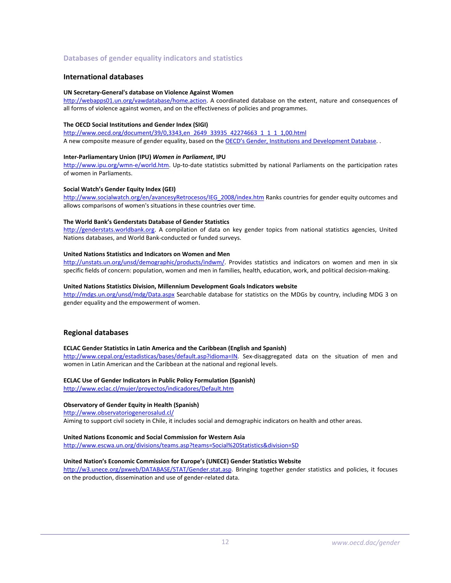### **Databases of gender equality indicators and statistics**

#### **International databases**

#### **UN Secretary‐General's database on Violence Against Women**

<http://webapps01.un.org/vawdatabase/home.action>. A coordinated database on the extent, nature and consequences of all forms of violence against women, and on the effectiveness of policies and programmes.

#### **The OECD Social Institutions and Gender Index (SIGI)**

[http://www.oecd.org/document/39/0,3343,en\\_2649\\_33935\\_42274663\\_1\\_1\\_1\\_1,00.html](http://www.oecd.org/document/39/0,3343,en_2649_33935_42274663_1_1_1_1,00.html)  A new composite measure of gender equality, based on the OECD's Gender, Institutions and [Development](http://www.oecd.org/document/16/0,3343,en_2649_33935_39323280_1_1_1_1,00.html) Database. .

#### **Inter‐Parliamentary Union (IPU)** *Women in Parliament***, IPU**

[http://www.ipu.org/wmn](http://www.ipu.org/wmn-e/world.htm)‐e/world.htm. Up‐to‐date statistics submitted by national Parliaments on the participation rates of women in Parliaments.

#### **Social Watch's Gender Equity Index (GEI)**

[http://www.socialwatch.org/en/avancesyRetrocesos/IEG\\_2008/index.htm](http://www.socialwatch.org/en/avancesyRetrocesos/IEG_2008/index.htm) Ranks countries for gender equity outcomes and allows comparisons of women's situations in these countries over time.

#### **The World Bank's Genderstats Database of Gender Statistics**

[http://genderstats.worldbank.org.](http://genderstats.worldbank.org/) A compilation of data on key gender topics from national statistics agencies, United Nations databases, and World Bank‐conducted or funded surveys.

#### **United Nations Statistics and Indicators on Women and Men**

[http://unstats.un.org/unsd/demographic/products/indwm/.](http://unstats.un.org/unsd/demographic/products/indwm/) Provides statistics and indicators on women and men in six specific fields of concern: population, women and men in families, health, education, work, and political decision-making.

#### **United Nations Statistics Division, Millennium Development Goals Indicators website**

<http://mdgs.un.org/unsd/mdg/Data.aspx> Searchable database for statistics on the MDGs by country, including MDG 3 on gender equality and the empowerment of women.

#### **Regional databases**

#### **ECLAC Gender Statistics in Latin America and the Caribbean (English and Spanish)**

<http://www.cepal.org/estadisticas/bases/default.asp?idioma=IN>. Sex-disaggregated data on the situation of men and women in Latin American and the Caribbean at the national and regional levels.

#### **ECLAC Use of Gender Indicators in Public Policy Formulation (Spanish)**

<http://www.eclac.cl/mujer/proyectos/indicadores/Default.htm>

#### **Observatory of Gender Equity in Health (Spanish)**

<http://www.observatoriogenerosalud.cl/> Aiming to support civil society in Chile, it includes social and demographic indicators on health and other areas.

## **United Nations Economic and Social Commission for Western Asia**

<http://www.escwa.un.org/divisions/teams.asp?teams=Social%20Statistics&division=SD>

#### **United Nation's Economic Commission for Europe's (UNECE) Gender Statistics Website**

<http://w3.unece.org/pxweb/DATABASE/STAT/Gender.stat.asp>. Bringing together gender statistics and policies, it focuses on the production, dissemination and use of gender‐related data.